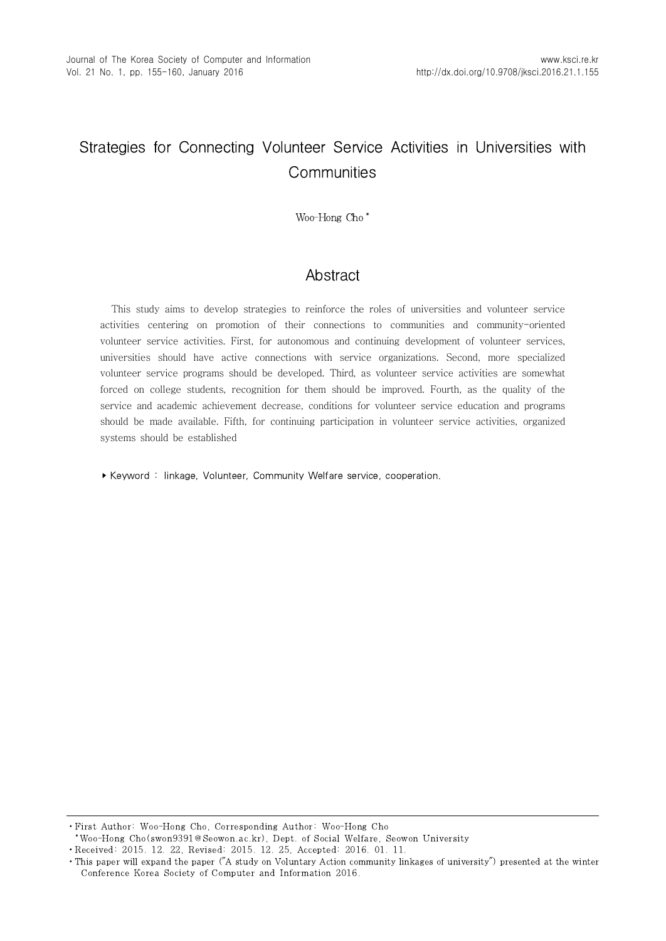# Strategies for Connecting Volunteer Service Activities in Universities with **Communities**

\*Woo-Hong Cho\*

# **Abstract**

This study aims to develop strategies to reinforce the roles of universities and volunteer service activities centering on promotion of their connections to communities and community-oriented volunteer service activities. First, for autonomous and continuing development of volunteer services, universities should have active connections with service organizations. Second, more specialized volunteer service programs should be developed. Third, as volunteer service activities are somewhat forced on college students, recognition for them should be improved. Fourth, as the quality of the service and academic achievement decrease, conditions for volunteer service education and programs should be made available. Fifth, for continuing participation in volunteer service activities, organized systems should be established

▸Keyword : linkage, Volunteer, Community Welfare service, cooperation.

• First Author: Woo-Hong Cho, Corresponding Author: Woo-Hong Cho \*\*Woo-Hong Cho(swon9391@Seowon.ac.kr), Dept. of Social Welfare, Seowon University

∙Received: 2015. 12. 22, Revised: 2015. 12. 25, Accepted: 2016. 01. 11.

<sup>•</sup> This paper will expand the paper ("A study on Voluntary Action community linkages of university") presented at the winter Conference Korea Society of Computer and Information 2016.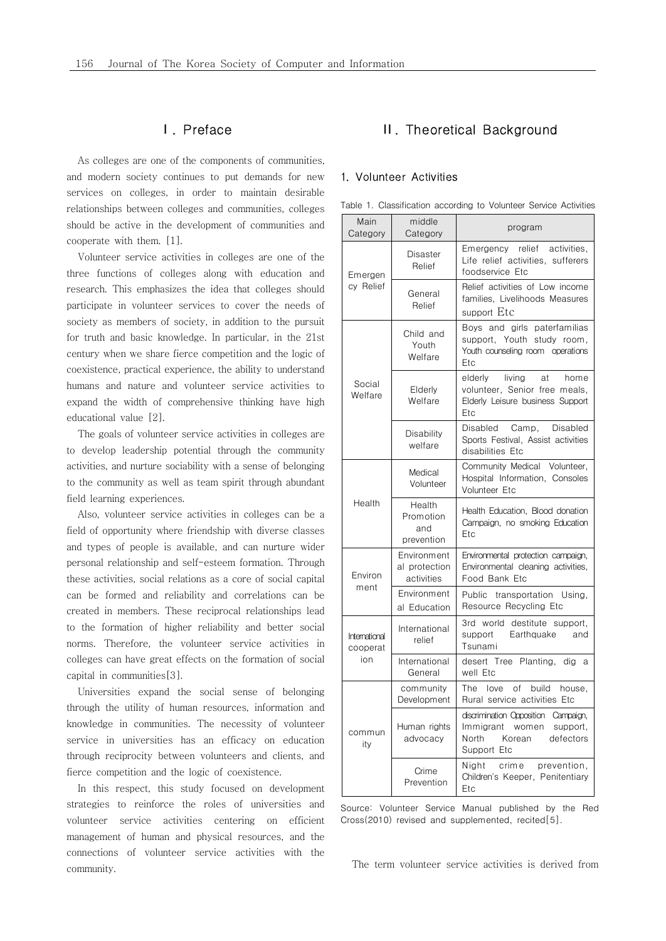### Ⅰ. Preface

As colleges are one of the components of communities, and modern society continues to put demands for new services on colleges, in order to maintain desirable relationships between colleges and communities, colleges should be active in the development of communities and cooperate with them. [1].

Volunteer service activities in colleges are one of the three functions of colleges along with education and research. This emphasizes the idea that colleges should participate in volunteer services to cover the needs of society as members of society, in addition to the pursuit for truth and basic knowledge. In particular, in the 21st century when we share fierce competition and the logic of coexistence, practical experience, the ability to understand humans and nature and volunteer service activities to expand the width of comprehensive thinking have high educational value [2].

The goals of volunteer service activities in colleges are to develop leadership potential through the community activities, and nurture sociability with a sense of belonging to the community as well as team spirit through abundant field learning experiences.

Also, volunteer service activities in colleges can be a field of opportunity where friendship with diverse classes and types of people is available, and can nurture wider personal relationship and self-esteem formation. Through these activities, social relations as a core of social capital can be formed and reliability and correlations can be created in members. These reciprocal relationships lead to the formation of higher reliability and better social norms. Therefore, the volunteer service activities in colleges can have great effects on the formation of social capital in communities[3].

Universities expand the social sense of belonging through the utility of human resources, information and knowledge in communities. The necessity of volunteer service in universities has an efficacy on education through reciprocity between volunteers and clients, and fierce competition and the logic of coexistence.

In this respect, this study focused on development strategies to reinforce the roles of universities and volunteer service activities centering on efficient management of human and physical resources, and the connections of volunteer service activities with the community.

# Ⅱ. Theoretical Background

### 1. Volunteer Activities

| Main<br>Category                 | middle<br>Category                         | program                                                                                                                  |  |
|----------------------------------|--------------------------------------------|--------------------------------------------------------------------------------------------------------------------------|--|
| Emergen<br>cy Relief             | Disaster<br>Relief                         | relief activities.<br>Emergency<br>Life relief activities, sufferers<br>foodservice Etc                                  |  |
|                                  | General<br>Relief                          | Relief activities of Low income<br>families, Livelihoods Measures<br>support Etc                                         |  |
| Social<br>Welfare                | Child and<br>Youth<br>Welfare              | Boys and girls paterfamilias<br>support, Youth study room,<br>Youth counseling room operations<br>Etc                    |  |
|                                  | Elderly<br>Welfare                         | elderly<br>livina<br>at<br>home<br>volunteer, Senior free meals,<br>Elderly Leisure business Support<br>Etc              |  |
|                                  | Disability<br>welfare                      | Disabled<br>Camp,<br>Disabled<br>Sports Festival, Assist activities<br>disabilities Etc                                  |  |
| Health                           | Medical<br>Volunteer                       | Community Medical Volunteer,<br>Hospital Information. Consoles<br>Volunteer Etc                                          |  |
|                                  | Health<br>Promotion<br>and<br>prevention   | Health Education. Blood donation<br>Campaign, no smoking Education<br>Etc                                                |  |
| Environ<br>ment                  | Fnvironment<br>al protection<br>activities | Environmental protection campaign,<br>Environmental cleaning activities,<br>Food Bank Etc                                |  |
|                                  | Environment<br>al Education                | Public transportation Using,<br>Resource Recycling Etc                                                                   |  |
| International<br>cooperat<br>ion | International<br>relief                    | 3rd world destitute support,<br>support<br>Earthquake<br>and<br>Tsunami                                                  |  |
|                                  | International<br>General                   | desert Tree Planting, dig a<br>well Etc                                                                                  |  |
| commun<br>ity                    | community<br>Development                   | $\circ$ f<br>build<br>The love<br>house.<br>Rural service activities Etc                                                 |  |
|                                  | Human rights<br>advocacy                   | discrimination Opposition Campaign,<br>Immigrant women<br>support,<br>defectors<br><b>North</b><br>Korean<br>Support Etc |  |
|                                  | Crime<br>Prevention                        | Niaht<br>crim e<br>prevention,<br>Children's Keeper, Penitentiary<br>Etc                                                 |  |

Table 1. Classification according to Volunteer Service Activities

Source: Volunteer Service Manual published by the Red Cross(2010) revised and supplemented, recited[5].

The term volunteer service activities is derived from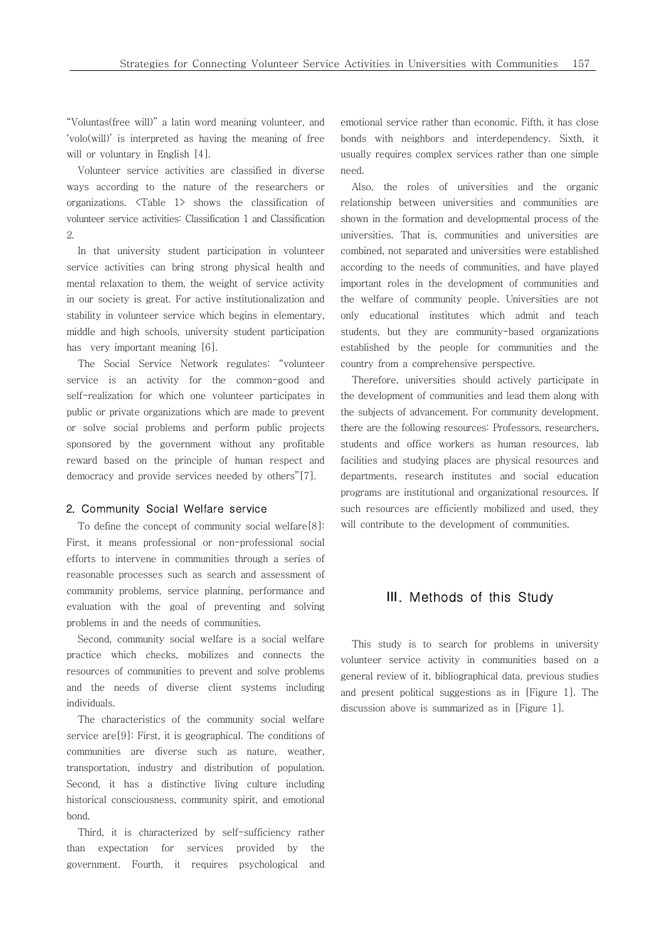"Voluntas(free will)" a latin word meaning volunteer, and 'volo(will)' is interpreted as having the meaning of free will or voluntary in English [4].

Volunteer service activities are classified in diverse ways according to the nature of the researchers or organizations. <Table 1> shows the classification of volunteer service activities: Classification 1 and Classification 2.

In that university student participation in volunteer service activities can bring strong physical health and mental relaxation to them, the weight of service activity in our society is great. For active institutionalization and stability in volunteer service which begins in elementary, middle and high schools, university student participation has very important meaning [6].

The Social Service Network regulates: "volunteer service is an activity for the common-good and self-realization for which one volunteer participates in public or private organizations which are made to prevent or solve social problems and perform public projects sponsored by the government without any profitable reward based on the principle of human respect and democracy and provide services needed by others"[7].

#### 2. Community Social Welfare service

To define the concept of community social welfare[8]: First, it means professional or non-professional social efforts to intervene in communities through a series of reasonable processes such as search and assessment of community problems, service planning, performance and evaluation with the goal of preventing and solving problems in and the needs of communities.

Second, community social welfare is a social welfare practice which checks, mobilizes and connects the resources of communities to prevent and solve problems and the needs of diverse client systems including individuals.

The characteristics of the community social welfare service are[9]: First, it is geographical. The conditions of communities are diverse such as nature, weather, transportation, industry and distribution of population. Second, it has a distinctive living culture including historical consciousness, community spirit, and emotional bond.

Third, it is characterized by self-sufficiency rather than expectation for services provided by the government. Fourth, it requires psychological and

emotional service rather than economic. Fifth, it has close bonds with neighbors and interdependency. Sixth, it usually requires complex services rather than one simple need.

Also, the roles of universities and the organic relationship between universities and communities are shown in the formation and developmental process of the universities. That is, communities and universities are combined, not separated and universities were established according to the needs of communities, and have played important roles in the development of communities and the welfare of community people. Universities are not only educational institutes which admit and teach students, but they are community-based organizations established by the people for communities and the country from a comprehensive perspective.

Therefore, universities should actively participate in the development of communities and lead them along with the subjects of advancement. For community development, there are the following resources: Professors, researchers, students and office workers as human resources, lab facilities and studying places are physical resources and departments, research institutes and social education programs are institutional and organizational resources. If such resources are efficiently mobilized and used, they will contribute to the development of communities.

### Ⅲ. Methods of this Study

This study is to search for problems in university volunteer service activity in communities based on a general review of it, bibliographical data, previous studies and present political suggestions as in [Figure 1]. The discussion above is summarized as in [Figure 1].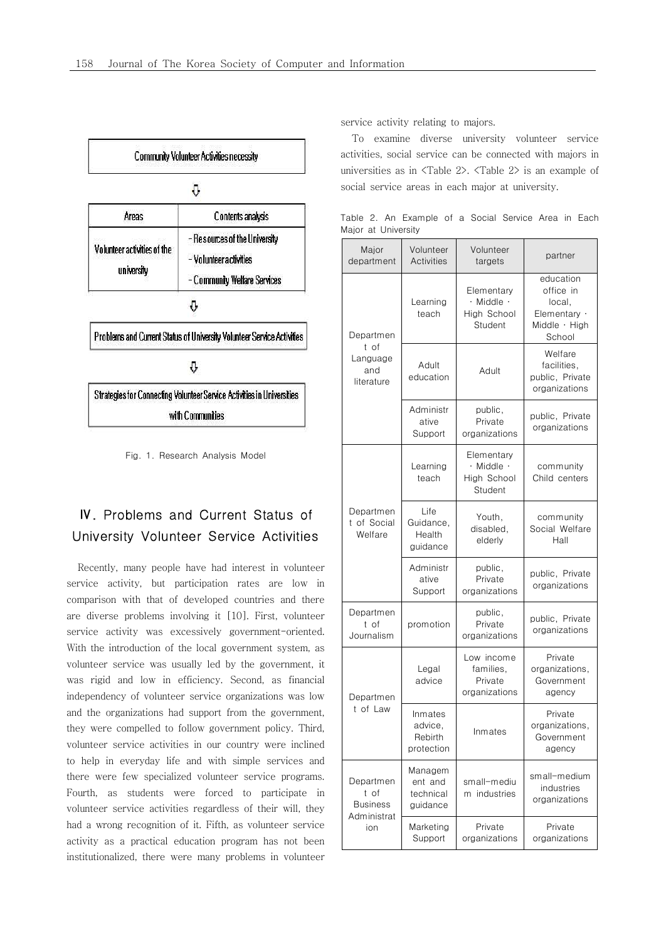

# Ⅳ. Problems and Current Status of University Volunteer Service Activities

Recently, many people have had interest in volunteer service activity, but participation rates are low in comparison with that of developed countries and there are diverse problems involving it [10]. First, volunteer service activity was excessively government-oriented. With the introduction of the local government system, as volunteer service was usually led by the government, it was rigid and low in efficiency. Second, as financial independency of volunteer service organizations was low and the organizations had support from the government, they were compelled to follow government policy. Third, volunteer service activities in our country were inclined to help in everyday life and with simple services and there were few specialized volunteer service programs. Fourth, as students were forced to participate in volunteer service activities regardless of their will, they had a wrong recognition of it. Fifth, as volunteer service activity as a practical education program has not been institutionalized, there were many problems in volunteer service activity relating to majors.

To examine diverse university volunteer service activities, social service can be connected with majors in universities as in <Table 2>. <Table 2> is an example of social service areas in each major at university.

Table 2. An Example of a Social Service Area in Each Major at University

| Major<br>department                                        | Volunteer<br><b>Activities</b>              | Volunteer<br>targets                                           | partner                                                                     |
|------------------------------------------------------------|---------------------------------------------|----------------------------------------------------------------|-----------------------------------------------------------------------------|
| Departmen<br>t of<br>Language<br>and<br>literature         | Learning<br>teach                           | Elementary<br>$\cdot$ Middle $\cdot$<br>High School<br>Student | education<br>office in<br>local.<br>Elementary ·<br>Middle · High<br>School |
|                                                            | Adult<br>education                          | Adult                                                          | Welfare<br>facilities.<br>public, Private<br>organizations                  |
|                                                            | Administr<br>ative<br>Support               | public,<br>Private<br>organizations                            | public, Private<br>organizations                                            |
| Departmen<br>t of Social<br>Welfare                        | Learning<br>teach                           | Elementary<br>$\cdot$ Middle $\cdot$<br>High School<br>Student | community<br>Child centers                                                  |
|                                                            | I ife<br>Guidance,<br>Health<br>guidance    | Youth,<br>disabled,<br>elderly                                 | community<br>Social Welfare<br>Hall                                         |
|                                                            | Administr<br>ative<br>Support               | public,<br>Private<br>organizations                            | public, Private<br>organizations                                            |
| Departmen<br>t of<br>Journalism                            | promotion                                   | public,<br>Private<br>organizations                            | public, Private<br>organizations                                            |
| Departmen<br>t of law                                      | Legal<br>advice                             | Low income<br>families,<br>Private<br>organizations            | Private<br>organizations,<br>Government<br>agency                           |
|                                                            | Inmates<br>advice,<br>Rebirth<br>protection | Inmates                                                        | Private<br>organizations,<br>Government<br>agency                           |
| Departmen<br>t of<br><b>Business</b><br>Administrat<br>ion | Managem<br>ent and<br>technical<br>guidance | small-mediu<br>m industries                                    | small-medium<br>industries<br>organizations                                 |
|                                                            | Marketing<br>Support                        | Private<br>organizations                                       | Private<br>organizations                                                    |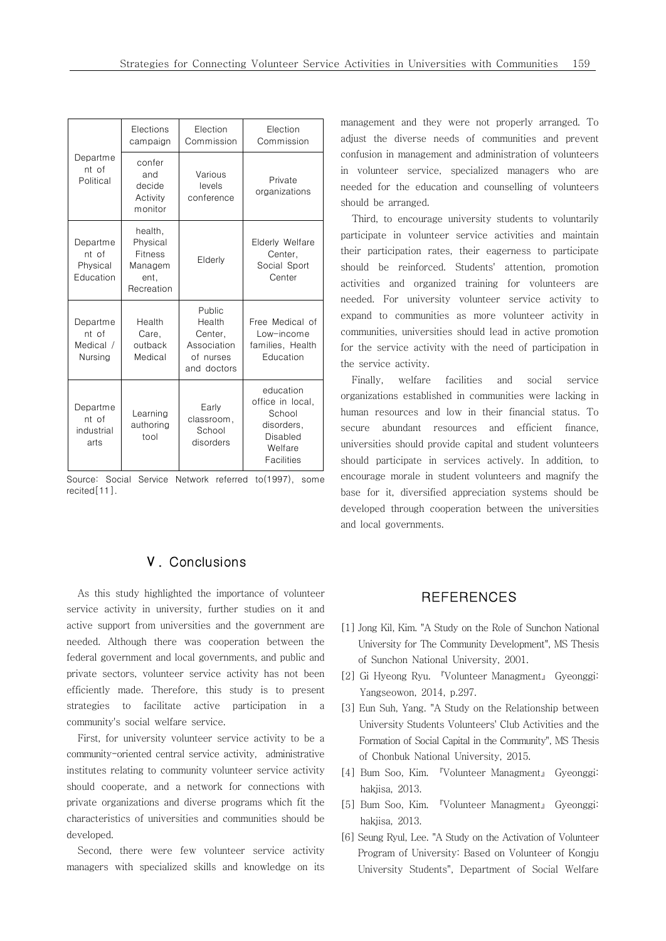| Departme<br>nt of<br>Political             | Flections<br>campaign                                                  | Flection<br>Commission                                                 | Flection<br>Commission                                                                     |
|--------------------------------------------|------------------------------------------------------------------------|------------------------------------------------------------------------|--------------------------------------------------------------------------------------------|
|                                            | confer<br>and<br>decide<br>Activity<br>monitor                         | Various<br>levels<br>conference                                        | Private<br>organizations                                                                   |
| Departme<br>nt of<br>Physical<br>Education | health,<br>Physical<br><b>Fitness</b><br>Managem<br>ent,<br>Recreation | Elderly                                                                | Elderly Welfare<br>Center.<br>Social Sport<br>Center                                       |
| Departme<br>nt of<br>Medical /<br>Nursing  | Health<br>Care,<br>outback<br>Medical                                  | Public<br>Health<br>Center,<br>Association<br>of nurses<br>and doctors | Free Medical of<br>Low-income<br>families, Health<br>Fducation                             |
| Departme<br>nt of<br>industrial<br>arts    | Learning<br>authoring<br>tool                                          | Early<br>classroom,<br>School<br>disorders                             | education<br>office in local,<br>School<br>disorders,<br>Disabled<br>Welfare<br>Facilities |

Source: Social Service Network referred to(1997), some recited[11].

## Ⅴ. Conclusions

As this study highlighted the importance of volunteer service activity in university, further studies on it and active support from universities and the government are needed. Although there was cooperation between the federal government and local governments, and public and private sectors, volunteer service activity has not been efficiently made. Therefore, this study is to present strategies to facilitate active participation in a community's social welfare service.

First, for university volunteer service activity to be a community-oriented central service activity, administrative institutes relating to community volunteer service activity should cooperate, and a network for connections with private organizations and diverse programs which fit the characteristics of universities and communities should be developed.

Second, there were few volunteer service activity managers with specialized skills and knowledge on its

management and they were not properly arranged. To adjust the diverse needs of communities and prevent confusion in management and administration of volunteers in volunteer service, specialized managers who are needed for the education and counselling of volunteers should be arranged.

Third, to encourage university students to voluntarily participate in volunteer service activities and maintain their participation rates, their eagerness to participate should be reinforced. Students' attention, promotion activities and organized training for volunteers are needed. For university volunteer service activity to expand to communities as more volunteer activity in communities, universities should lead in active promotion for the service activity with the need of participation in the service activity.

Finally, welfare facilities and social service organizations established in communities were lacking in human resources and low in their financial status. To secure abundant resources and efficient finance, universities should provide capital and student volunteers should participate in services actively. In addition, to encourage morale in student volunteers and magnify the base for it, diversified appreciation systems should be developed through cooperation between the universities and local governments.

### **REFERENCES**

- [1] Jong Kil, Kim. "A Study on the Role of Sunchon National University for The Community Development", MS Thesis of Sunchon National University, 2001.
- [2] Gi Hyeong Ryu. 『Volunteer Managment』 Gyeonggi: Yangseowon, 2014, p.297.
- [3] Eun Suh, Yang. "A Study on the Relationship between University Students Volunteers' Club Activities and the Formation of Social Capital in the Community", MS Thesis of Chonbuk National University, 2015.
- [4] Bum Soo, Kim. 『Volunteer Managment』 Gyeonggi: hakjisa, 2013.
- [5] Bum Soo, Kim. 『Volunteer Managment』 Gyeonggi: hakjisa, 2013.
- [6] Seung Ryul, Lee. "A Study on the Activation of Volunteer Program of University: Based on Volunteer of Kongju University Students", Department of Social Welfare